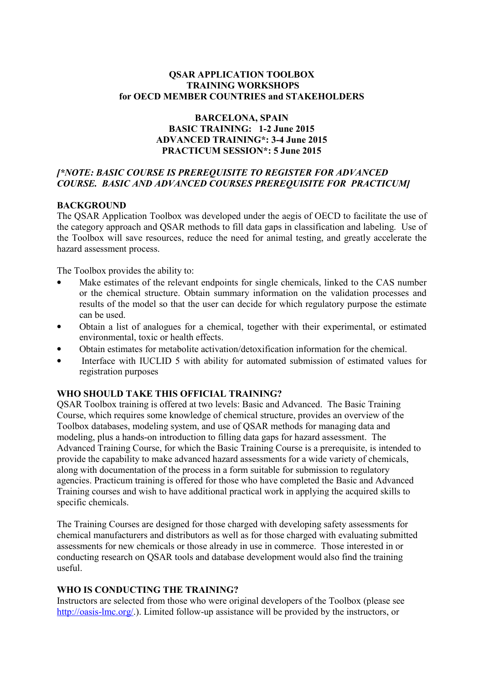# QSAR APPLICATIO TOOLBOX **TRAINING WORKSHOPS** for OECD MEMBER COUTRIES and STAKEHOLDERS

## BARCELONA, SPAIN BASIC TRAINING: 1-2 June 2015 ADVACED TRAIIG\*: 3-4 June 2015 PRACTICUM SESSIO\*: 5 June 2015

## [\*NOTE: BASIC COURSE IS PREREQUISITE TO REGISTER FOR ADVANCED COURSE. BASIC AND ADVANCED COURSES PREREQUISITE FOR PRACTICUM]

## **BACKGROUND**

The QSAR Application Toolbox was developed under the aegis of OECD to facilitate the use of the category approach and QSAR methods to fill data gaps in classification and labeling. Use of the Toolbox will save resources, reduce the need for animal testing, and greatly accelerate the hazard assessment process.

The Toolbox provides the ability to:

- Make estimates of the relevant endpoints for single chemicals, linked to the CAS number or the chemical structure. Obtain summary information on the validation processes and results of the model so that the user can decide for which regulatory purpose the estimate can be used.
- Obtain a list of analogues for a chemical, together with their experimental, or estimated environmental, toxic or health effects.
- Obtain estimates for metabolite activation/detoxification information for the chemical.
- Interface with IUCLID 5 with ability for automated submission of estimated values for registration purposes

#### WHO SHOULD TAKE THIS OFFICIAL TRAINING?

QSAR Toolbox training is offered at two levels: Basic and Advanced. The Basic Training Course, which requires some knowledge of chemical structure, provides an overview of the Toolbox databases, modeling system, and use of QSAR methods for managing data and modeling, plus a hands-on introduction to filling data gaps for hazard assessment. The Advanced Training Course, for which the Basic Training Course is a prerequisite, is intended to provide the capability to make advanced hazard assessments for a wide variety of chemicals, along with documentation of the process in a form suitable for submission to regulatory agencies. Practicum training is offered for those who have completed the Basic and Advanced Training courses and wish to have additional practical work in applying the acquired skills to specific chemicals.

The Training Courses are designed for those charged with developing safety assessments for chemical manufacturers and distributors as well as for those charged with evaluating submitted assessments for new chemicals or those already in use in commerce. Those interested in or conducting research on QSAR tools and database development would also find the training useful.

# WHO IS CONDUCTING THE TRAINING?

Instructors are selected from those who were original developers of the Toolbox (please see http://oasis-lmc.org/.). Limited follow-up assistance will be provided by the instructors, or